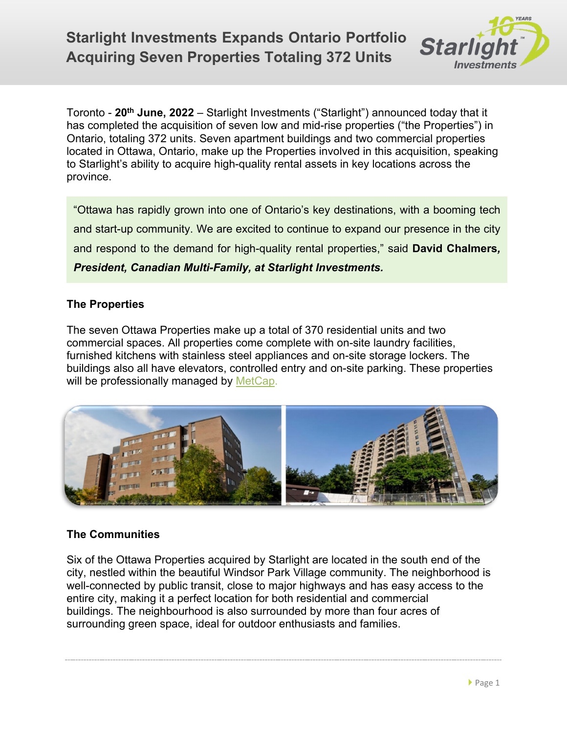

Toronto - **20th June, 2022** – Starlight Investments ("Starlight") announced today that it has completed the acquisition of seven low and mid-rise properties ("the Properties") in Ontario, totaling 372 units. Seven apartment buildings and two commercial properties located in Ottawa, Ontario, make up the Properties involved in this acquisition, speaking to Starlight's ability to acquire high-quality rental assets in key locations across the province.

"Ottawa has rapidly grown into one of Ontario's key destinations, with a booming tech and start-up community. We are excited to continue to expand our presence in the city and respond to the demand for high-quality rental properties," said **David Chalmers***, President, Canadian Multi-Family, at Starlight Investments.*

## **The Properties**

The seven Ottawa Properties make up a total of 370 residential units and two commercial spaces. All properties come complete with on-site laundry facilities, furnished kitchens with stainless steel appliances and on-site storage lockers. The buildings also all have elevators, controlled entry and on-site parking. These properties will be professionally managed by [MetCap.](https://www.metcap.com/)



## **The Communities**

Six of the Ottawa Properties acquired by Starlight are located in the south end of the city, nestled within the beautiful Windsor Park Village community. The neighborhood is well-connected by public transit, close to major highways and has easy access to the entire city, making it a perfect location for both residential and commercial buildings. The neighbourhood is also surrounded by more than four acres of surrounding green space, ideal for outdoor enthusiasts and families.